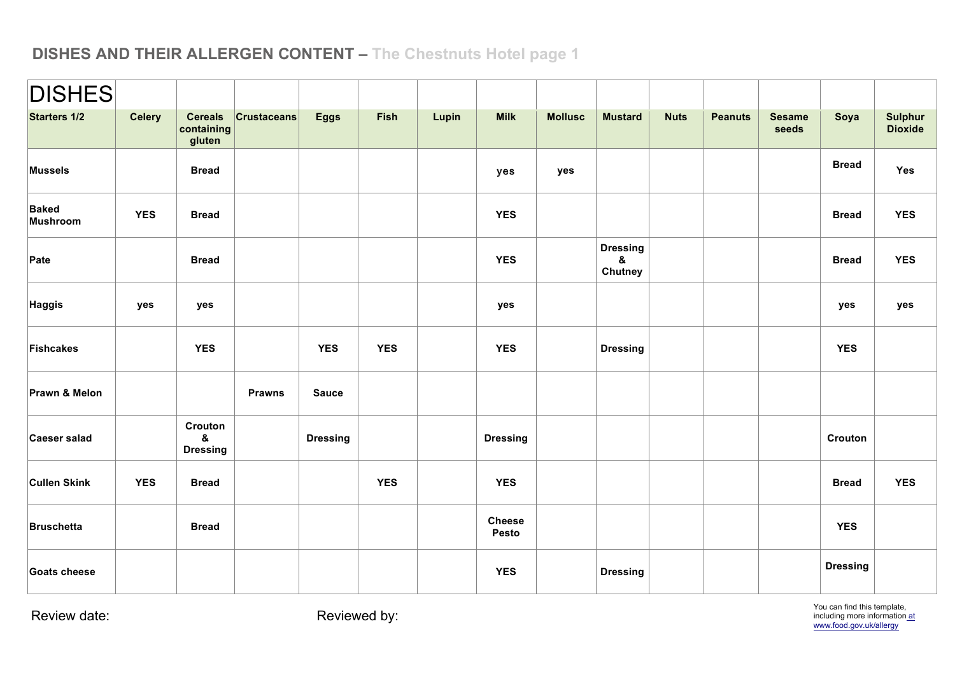| <b>DISHES</b>                   |               |                                         |                    |                 |            |       |                        |                |                                 |             |                |                        |                 |                                  |
|---------------------------------|---------------|-----------------------------------------|--------------------|-----------------|------------|-------|------------------------|----------------|---------------------------------|-------------|----------------|------------------------|-----------------|----------------------------------|
| <b>Starters 1/2</b>             | <b>Celery</b> | <b>Cereals</b><br>containing<br>gluten  | <b>Crustaceans</b> | <b>Eggs</b>     | Fish       | Lupin | <b>Milk</b>            | <b>Mollusc</b> | <b>Mustard</b>                  | <b>Nuts</b> | <b>Peanuts</b> | <b>Sesame</b><br>seeds | Soya            | <b>Sulphur</b><br><b>Dioxide</b> |
| <b>Mussels</b>                  |               | <b>Bread</b>                            |                    |                 |            |       | yes                    | yes            |                                 |             |                |                        | <b>Bread</b>    | Yes                              |
| <b>Baked</b><br><b>Mushroom</b> | <b>YES</b>    | <b>Bread</b>                            |                    |                 |            |       | <b>YES</b>             |                |                                 |             |                |                        | <b>Bread</b>    | <b>YES</b>                       |
| Pate                            |               | <b>Bread</b>                            |                    |                 |            |       | <b>YES</b>             |                | <b>Dressing</b><br>&<br>Chutney |             |                |                        | <b>Bread</b>    | <b>YES</b>                       |
| Haggis                          | yes           | yes                                     |                    |                 |            |       | yes                    |                |                                 |             |                |                        | yes             | yes                              |
| Fishcakes                       |               | <b>YES</b>                              |                    | <b>YES</b>      | <b>YES</b> |       | <b>YES</b>             |                | <b>Dressing</b>                 |             |                |                        | <b>YES</b>      |                                  |
| Prawn & Melon                   |               |                                         | <b>Prawns</b>      | <b>Sauce</b>    |            |       |                        |                |                                 |             |                |                        |                 |                                  |
| Caeser salad                    |               | Crouton<br>$\pmb{8}$<br><b>Dressing</b> |                    | <b>Dressing</b> |            |       | <b>Dressing</b>        |                |                                 |             |                |                        | Crouton         |                                  |
| <b>Cullen Skink</b>             | <b>YES</b>    | <b>Bread</b>                            |                    |                 | <b>YES</b> |       | <b>YES</b>             |                |                                 |             |                |                        | <b>Bread</b>    | <b>YES</b>                       |
| <b>Bruschetta</b>               |               | <b>Bread</b>                            |                    |                 |            |       | <b>Cheese</b><br>Pesto |                |                                 |             |                |                        | <b>YES</b>      |                                  |
| Goats cheese                    |               |                                         |                    |                 |            |       | <b>YES</b>             |                | <b>Dressing</b>                 |             |                |                        | <b>Dressing</b> |                                  |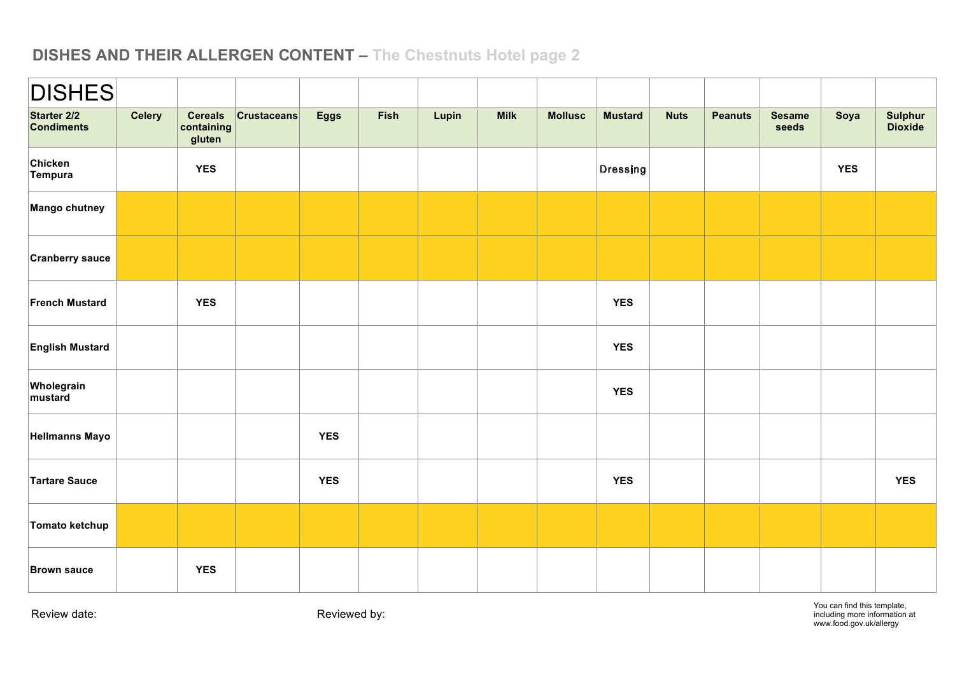| <b>DISHES</b>                    |               |                                        |                     |             |      |       |             |                |                                  |             |                |                        |            |                    |
|----------------------------------|---------------|----------------------------------------|---------------------|-------------|------|-------|-------------|----------------|----------------------------------|-------------|----------------|------------------------|------------|--------------------|
| Starter 2/2<br><b>Condiments</b> | <b>Celery</b> | <b>Cereals</b><br>containing<br>gluten | $ $ Crustaceans $ $ | <b>Eggs</b> | Fish | Lupin | <b>Milk</b> | <b>Mollusc</b> | <b>Mustard</b>                   | <b>Nuts</b> | <b>Peanuts</b> | <b>Sesame</b><br>seeds | Soya       | Sulphur<br>Dioxide |
| Chicken<br>Tempura               |               | <b>YES</b>                             |                     |             |      |       |             |                | $ \mathsf{D}{\mathsf{ressing}} $ |             |                |                        | <b>YES</b> |                    |
| Mango chutney                    |               |                                        |                     |             |      |       |             |                |                                  |             |                |                        |            |                    |
| <b>Cranberry sauce</b>           |               |                                        |                     |             |      |       |             |                |                                  |             |                |                        |            |                    |
| <b>French Mustard</b>            |               | <b>YES</b>                             |                     |             |      |       |             |                | <b>YES</b>                       |             |                |                        |            |                    |
| <b>English Mustard</b>           |               |                                        |                     |             |      |       |             |                | <b>YES</b>                       |             |                |                        |            |                    |
| Wholegrain<br>mustard            |               |                                        |                     |             |      |       |             |                | <b>YES</b>                       |             |                |                        |            |                    |
| <b>Hellmanns Mayo</b>            |               |                                        |                     | <b>YES</b>  |      |       |             |                |                                  |             |                |                        |            |                    |
| <b>Tartare Sauce</b>             |               |                                        |                     | <b>YES</b>  |      |       |             |                | <b>YES</b>                       |             |                |                        |            | <b>YES</b>         |
| Tomato ketchup                   |               |                                        |                     |             |      |       |             |                |                                  |             |                |                        |            |                    |
| <b>Brown sauce</b>               |               | <b>YES</b>                             |                     |             |      |       |             |                |                                  |             |                |                        |            |                    |

You can find this template, including more information at www.food.gov.uk/allergy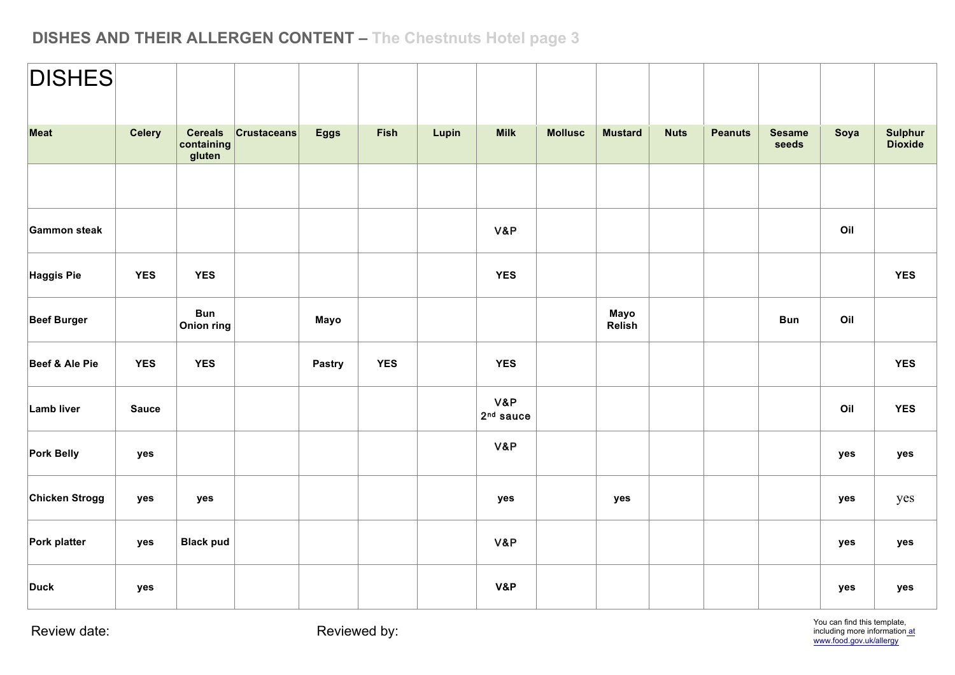| <b>DISHES</b>      |               |                                        |                    |             |            |       |                    |                |                |             |                |                        |      |                    |
|--------------------|---------------|----------------------------------------|--------------------|-------------|------------|-------|--------------------|----------------|----------------|-------------|----------------|------------------------|------|--------------------|
| Meat               | <b>Celery</b> | <b>Cereals</b><br>containing<br>gluten | <b>Crustaceans</b> | <b>Eggs</b> | Fish       | Lupin | <b>Milk</b>        | <b>Mollusc</b> | <b>Mustard</b> | <b>Nuts</b> | <b>Peanuts</b> | <b>Sesame</b><br>seeds | Soya | Sulphur<br>Dioxide |
|                    |               |                                        |                    |             |            |       |                    |                |                |             |                |                        |      |                    |
| Gammon steak       |               |                                        |                    |             |            |       | V&P                |                |                |             |                |                        | Oil  |                    |
| Haggis Pie         | <b>YES</b>    | <b>YES</b>                             |                    |             |            |       | <b>YES</b>         |                |                |             |                |                        |      | <b>YES</b>         |
| <b>Beef Burger</b> |               | <b>Bun</b><br>Onion ring               |                    | Mayo        |            |       |                    |                | Mayo<br>Relish |             |                | <b>Bun</b>             | Oil  |                    |
| Beef & Ale Pie     | <b>YES</b>    | <b>YES</b>                             |                    | Pastry      | <b>YES</b> |       | <b>YES</b>         |                |                |             |                |                        |      | <b>YES</b>         |
| Lamb liver         | <b>Sauce</b>  |                                        |                    |             |            |       | V&P<br>$2nd$ sauce |                |                |             |                |                        | Oil  | <b>YES</b>         |
| Pork Belly         | yes           |                                        |                    |             |            |       | V&P                |                |                |             |                |                        | yes  | yes                |
| Chicken Strogg     | yes           | yes                                    |                    |             |            |       | yes                |                | yes            |             |                |                        | yes  | yes                |
| Pork platter       | yes           | <b>Black pud</b>                       |                    |             |            |       | V&P                |                |                |             |                |                        | yes  | yes                |
| <b>Duck</b>        | yes           |                                        |                    |             |            |       | V&P                |                |                |             |                |                        | yes  | yes                |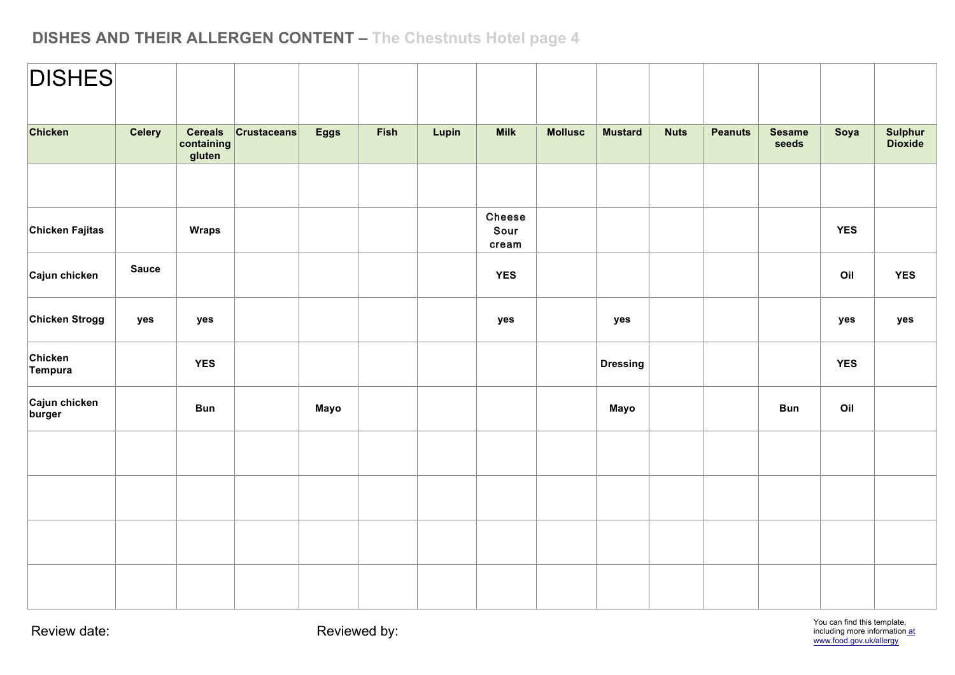| <b>DISHES</b>           |               |                                        |                    |             |             |       |                         |                |                 |             |                |                        |            |                    |
|-------------------------|---------------|----------------------------------------|--------------------|-------------|-------------|-------|-------------------------|----------------|-----------------|-------------|----------------|------------------------|------------|--------------------|
| Chicken                 | <b>Celery</b> | <b>Cereals</b><br>containing<br>gluten | <b>Crustaceans</b> | <b>Eggs</b> | <b>Fish</b> | Lupin | <b>Milk</b>             | <b>Mollusc</b> | <b>Mustard</b>  | <b>Nuts</b> | <b>Peanuts</b> | <b>Sesame</b><br>seeds | Soya       | Sulphur<br>Dioxide |
|                         |               |                                        |                    |             |             |       |                         |                |                 |             |                |                        |            |                    |
| Chicken Fajitas         |               | <b>Wraps</b>                           |                    |             |             |       | Cheese<br>Sour<br>cream |                |                 |             |                |                        | <b>YES</b> |                    |
| Cajun chicken           | <b>Sauce</b>  |                                        |                    |             |             |       | <b>YES</b>              |                |                 |             |                |                        | Oil        | <b>YES</b>         |
| Chicken Strogg          | yes           | yes                                    |                    |             |             |       | yes                     |                | yes             |             |                |                        | yes        | yes                |
| Chicken<br>Tempura      |               | <b>YES</b>                             |                    |             |             |       |                         |                | <b>Dressing</b> |             |                |                        | <b>YES</b> |                    |
| Cajun chicken<br>burger |               | <b>Bun</b>                             |                    | Mayo        |             |       |                         |                | Mayo            |             |                | <b>Bun</b>             | Oil        |                    |
|                         |               |                                        |                    |             |             |       |                         |                |                 |             |                |                        |            |                    |
|                         |               |                                        |                    |             |             |       |                         |                |                 |             |                |                        |            |                    |
|                         |               |                                        |                    |             |             |       |                         |                |                 |             |                |                        |            |                    |
|                         |               |                                        |                    |             |             |       |                         |                |                 |             |                |                        |            |                    |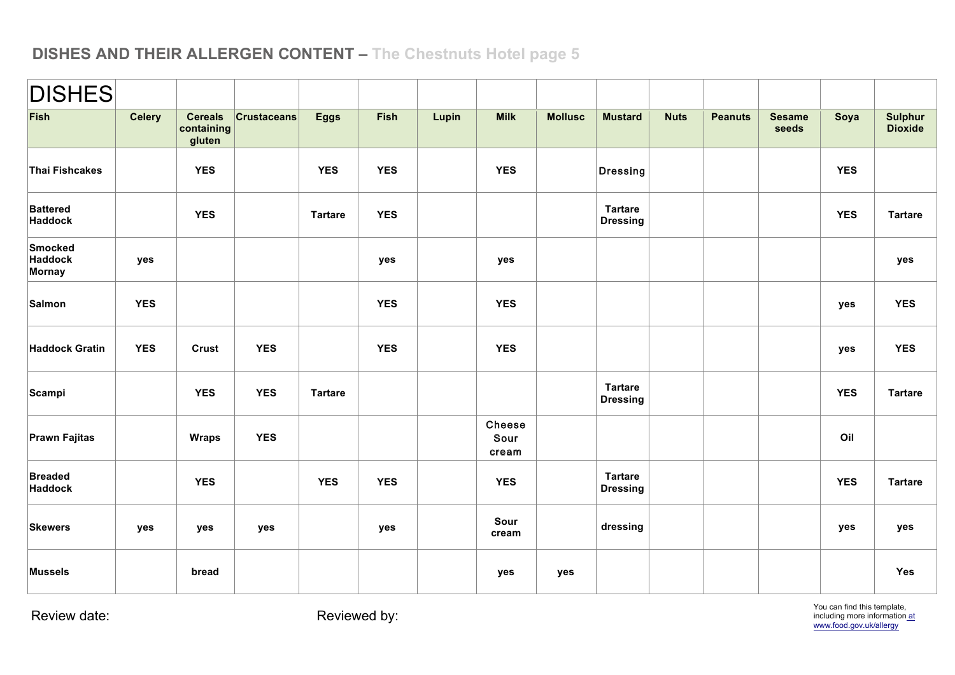| <b>DISHES</b>                |               |                                        |                    |                |            |       |                         |                |                                   |             |                |                        |            |                                  |
|------------------------------|---------------|----------------------------------------|--------------------|----------------|------------|-------|-------------------------|----------------|-----------------------------------|-------------|----------------|------------------------|------------|----------------------------------|
| Fish                         | <b>Celery</b> | <b>Cereals</b><br>containing<br>gluten | <b>Crustaceans</b> | <b>Eggs</b>    | Fish       | Lupin | <b>Milk</b>             | <b>Mollusc</b> | <b>Mustard</b>                    | <b>Nuts</b> | <b>Peanuts</b> | <b>Sesame</b><br>seeds | Soya       | <b>Sulphur</b><br><b>Dioxide</b> |
| Thai Fishcakes               |               | <b>YES</b>                             |                    | <b>YES</b>     | <b>YES</b> |       | <b>YES</b>              |                | Dressing                          |             |                |                        | <b>YES</b> |                                  |
| <b>Battered</b><br>Haddock   |               | <b>YES</b>                             |                    | <b>Tartare</b> | <b>YES</b> |       |                         |                | <b>Tartare</b><br><b>Dressing</b> |             |                |                        | <b>YES</b> | <b>Tartare</b>                   |
| Smocked<br>Haddock<br>Mornay | yes           |                                        |                    |                | yes        |       | yes                     |                |                                   |             |                |                        |            | yes                              |
| Salmon                       | <b>YES</b>    |                                        |                    |                | <b>YES</b> |       | <b>YES</b>              |                |                                   |             |                |                        | yes        | <b>YES</b>                       |
| <b>Haddock Gratin</b>        | <b>YES</b>    | <b>Crust</b>                           | <b>YES</b>         |                | <b>YES</b> |       | <b>YES</b>              |                |                                   |             |                |                        | yes        | <b>YES</b>                       |
| Scampi                       |               | <b>YES</b>                             | <b>YES</b>         | <b>Tartare</b> |            |       |                         |                | <b>Tartare</b><br><b>Dressing</b> |             |                |                        | <b>YES</b> | <b>Tartare</b>                   |
| Prawn Fajitas                |               | <b>Wraps</b>                           | <b>YES</b>         |                |            |       | Cheese<br>Sour<br>cream |                |                                   |             |                |                        | Oil        |                                  |
| <b>Breaded</b><br>Haddock    |               | <b>YES</b>                             |                    | <b>YES</b>     | <b>YES</b> |       | <b>YES</b>              |                | <b>Tartare</b><br><b>Dressing</b> |             |                |                        | <b>YES</b> | <b>Tartare</b>                   |
| <b>Skewers</b>               | yes           | yes                                    | yes                |                | yes        |       | Sour<br>cream           |                | dressing                          |             |                |                        | yes        | yes                              |
| <b>Mussels</b>               |               | bread                                  |                    |                |            |       | yes                     | yes            |                                   |             |                |                        |            | Yes                              |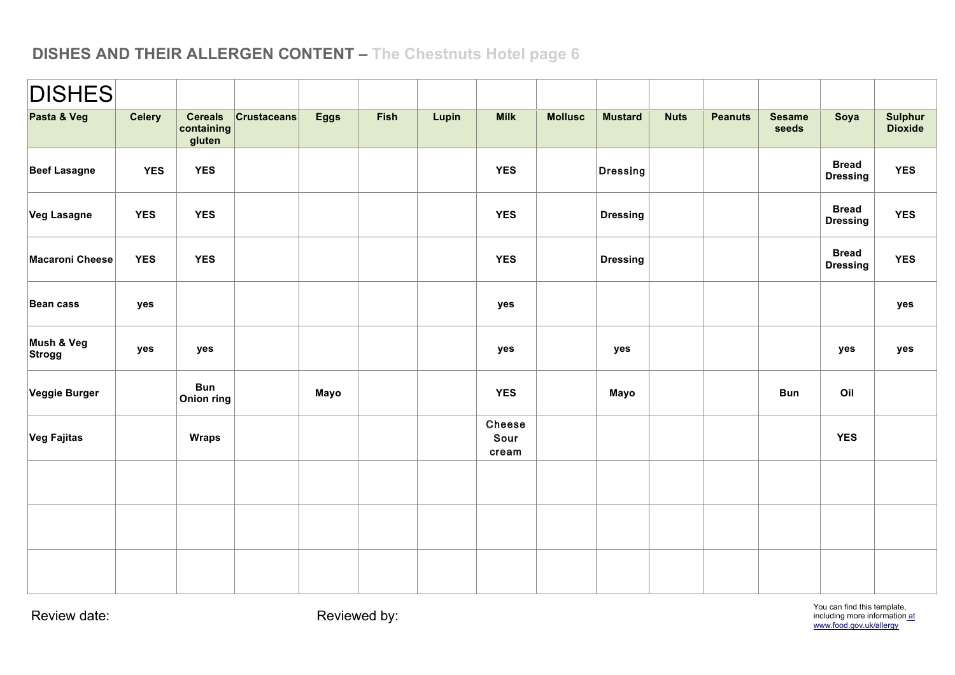| <b>DISHES</b>          |               |                                        |                    |             |      |       |                         |                |                 |             |                |                        |                                 |                           |
|------------------------|---------------|----------------------------------------|--------------------|-------------|------|-------|-------------------------|----------------|-----------------|-------------|----------------|------------------------|---------------------------------|---------------------------|
| Pasta & Veg            | <b>Celery</b> | <b>Cereals</b><br>containing<br>gluten | <b>Crustaceans</b> | <b>Eggs</b> | Fish | Lupin | <b>Milk</b>             | <b>Mollusc</b> | <b>Mustard</b>  | <b>Nuts</b> | <b>Peanuts</b> | <b>Sesame</b><br>seeds | Soya                            | Sulphur<br><b>Dioxide</b> |
| <b>Beef Lasagne</b>    | <b>YES</b>    | <b>YES</b>                             |                    |             |      |       | <b>YES</b>              |                | Dressing        |             |                |                        | <b>Bread</b><br><b>Dressing</b> | <b>YES</b>                |
| <b>Veg Lasagne</b>     | <b>YES</b>    | <b>YES</b>                             |                    |             |      |       | <b>YES</b>              |                | <b>Dressing</b> |             |                |                        | <b>Bread</b><br><b>Dressing</b> | <b>YES</b>                |
| <b>Macaroni Cheese</b> | <b>YES</b>    | <b>YES</b>                             |                    |             |      |       | <b>YES</b>              |                | <b>Dressing</b> |             |                |                        | <b>Bread</b><br><b>Dressing</b> | <b>YES</b>                |
| Bean cass              | yes           |                                        |                    |             |      |       | yes                     |                |                 |             |                |                        |                                 | yes                       |
| Mush & Veg<br>Strogg   | yes           | yes                                    |                    |             |      |       | yes                     |                | yes             |             |                |                        | yes                             | yes                       |
| Veggie Burger          |               | <b>Bun</b><br><b>Onion ring</b>        |                    | Mayo        |      |       | <b>YES</b>              |                | Mayo            |             |                | <b>Bun</b>             | Oil                             |                           |
| Veg Fajitas            |               | <b>Wraps</b>                           |                    |             |      |       | Cheese<br>Sour<br>cream |                |                 |             |                |                        | <b>YES</b>                      |                           |
|                        |               |                                        |                    |             |      |       |                         |                |                 |             |                |                        |                                 |                           |
|                        |               |                                        |                    |             |      |       |                         |                |                 |             |                |                        |                                 |                           |
|                        |               |                                        |                    |             |      |       |                         |                |                 |             |                |                        |                                 |                           |

You can find this template, including more information at www.food.gov.uk/allergy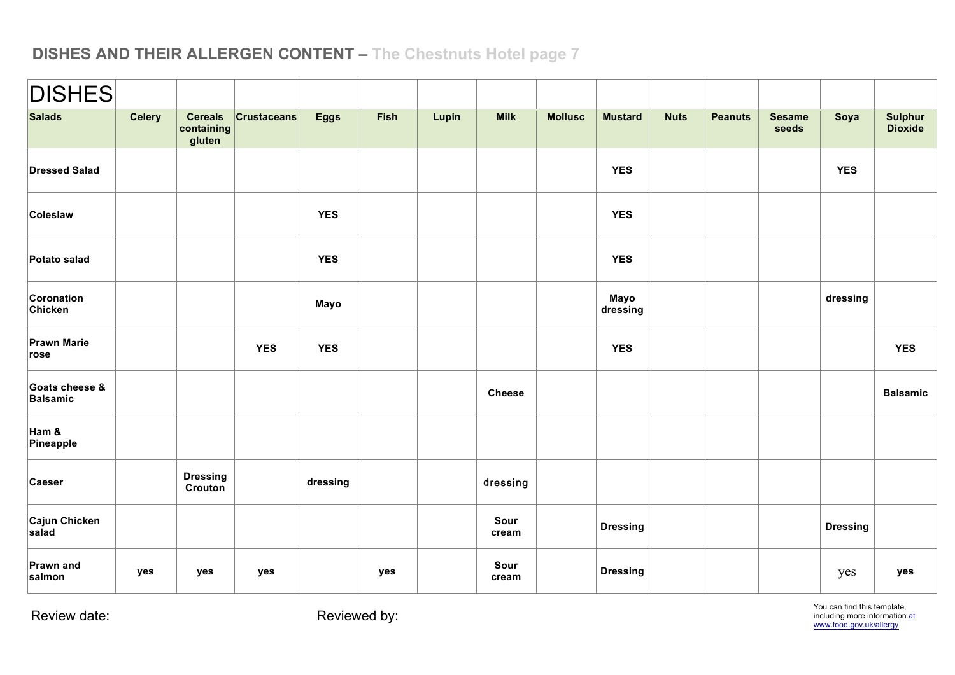| <b>DISHES</b>                             |               |                                        |                    |             |      |       |               |                |                  |             |                |                        |                 |                                  |
|-------------------------------------------|---------------|----------------------------------------|--------------------|-------------|------|-------|---------------|----------------|------------------|-------------|----------------|------------------------|-----------------|----------------------------------|
| <b>Salads</b>                             | <b>Celery</b> | <b>Cereals</b><br>containing<br>gluten | <b>Crustaceans</b> | <b>Eggs</b> | Fish | Lupin | <b>Milk</b>   | <b>Mollusc</b> | <b>Mustard</b>   | <b>Nuts</b> | <b>Peanuts</b> | <b>Sesame</b><br>seeds | Soya            | <b>Sulphur</b><br><b>Dioxide</b> |
| <b>Dressed Salad</b>                      |               |                                        |                    |             |      |       |               |                | <b>YES</b>       |             |                |                        | <b>YES</b>      |                                  |
| Coleslaw                                  |               |                                        |                    | <b>YES</b>  |      |       |               |                | <b>YES</b>       |             |                |                        |                 |                                  |
| Potato salad                              |               |                                        |                    | <b>YES</b>  |      |       |               |                | <b>YES</b>       |             |                |                        |                 |                                  |
| Coronation<br>Chicken                     |               |                                        |                    | Mayo        |      |       |               |                | Mayo<br>dressing |             |                |                        | dressing        |                                  |
| <b>Prawn Marie</b><br>$  \mathsf{rose}  $ |               |                                        | <b>YES</b>         | <b>YES</b>  |      |       |               |                | <b>YES</b>       |             |                |                        |                 | <b>YES</b>                       |
| Goats cheese &<br>Balsamic                |               |                                        |                    |             |      |       | <b>Cheese</b> |                |                  |             |                |                        |                 | <b>Balsamic</b>                  |
| Ham &<br>Pineapple                        |               |                                        |                    |             |      |       |               |                |                  |             |                |                        |                 |                                  |
| Caeser                                    |               | <b>Dressing</b><br>Crouton             |                    | dressing    |      |       | dressing      |                |                  |             |                |                        |                 |                                  |
| Cajun Chicken<br>salad                    |               |                                        |                    |             |      |       | Sour<br>cream |                | <b>Dressing</b>  |             |                |                        | <b>Dressing</b> |                                  |
| Prawn and<br>salmon                       | yes           | yes                                    | yes                |             | yes  |       | Sour<br>cream |                | <b>Dressing</b>  |             |                |                        | yes             | yes                              |

You can find this template,<br>including more information at www.food.gov.uk/allergy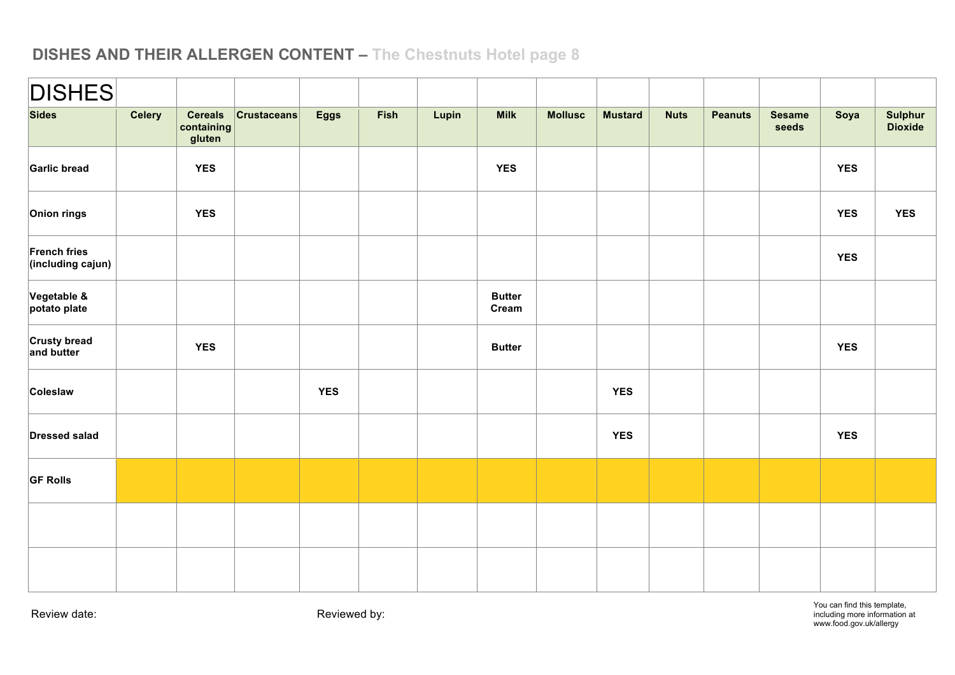| $ \mathsf{DISHES} $               |               |                                        |                    |             |      |       |                        |                |                |             |                |                        |            |                    |
|-----------------------------------|---------------|----------------------------------------|--------------------|-------------|------|-------|------------------------|----------------|----------------|-------------|----------------|------------------------|------------|--------------------|
| <b>Sides</b>                      | <b>Celery</b> | <b>Cereals</b><br>containing<br>gluten | <b>Crustaceans</b> | <b>Eggs</b> | Fish | Lupin | <b>Milk</b>            | <b>Mollusc</b> | <b>Mustard</b> | <b>Nuts</b> | <b>Peanuts</b> | <b>Sesame</b><br>seeds | Soya       | Sulphur<br>Dioxide |
| Garlic bread                      |               | <b>YES</b>                             |                    |             |      |       | <b>YES</b>             |                |                |             |                |                        | <b>YES</b> |                    |
| Onion rings                       |               | <b>YES</b>                             |                    |             |      |       |                        |                |                |             |                |                        | <b>YES</b> | <b>YES</b>         |
| French fries<br>(including cajun) |               |                                        |                    |             |      |       |                        |                |                |             |                |                        | <b>YES</b> |                    |
| Vegetable &<br>potato plate       |               |                                        |                    |             |      |       | <b>Butter</b><br>Cream |                |                |             |                |                        |            |                    |
| <b>Crusty bread</b><br>and butter |               | <b>YES</b>                             |                    |             |      |       | <b>Butter</b>          |                |                |             |                |                        | <b>YES</b> |                    |
| Coleslaw                          |               |                                        |                    | <b>YES</b>  |      |       |                        |                | <b>YES</b>     |             |                |                        |            |                    |
| <b>Dressed salad</b>              |               |                                        |                    |             |      |       |                        |                | <b>YES</b>     |             |                |                        | <b>YES</b> |                    |
| <b>GF Rolls</b>                   |               |                                        |                    |             |      |       |                        |                |                |             |                |                        |            |                    |
|                                   |               |                                        |                    |             |      |       |                        |                |                |             |                |                        |            |                    |
|                                   |               |                                        |                    |             |      |       |                        |                |                |             |                |                        |            |                    |

You can find this template, including more information at www.food.gov.uk/allergy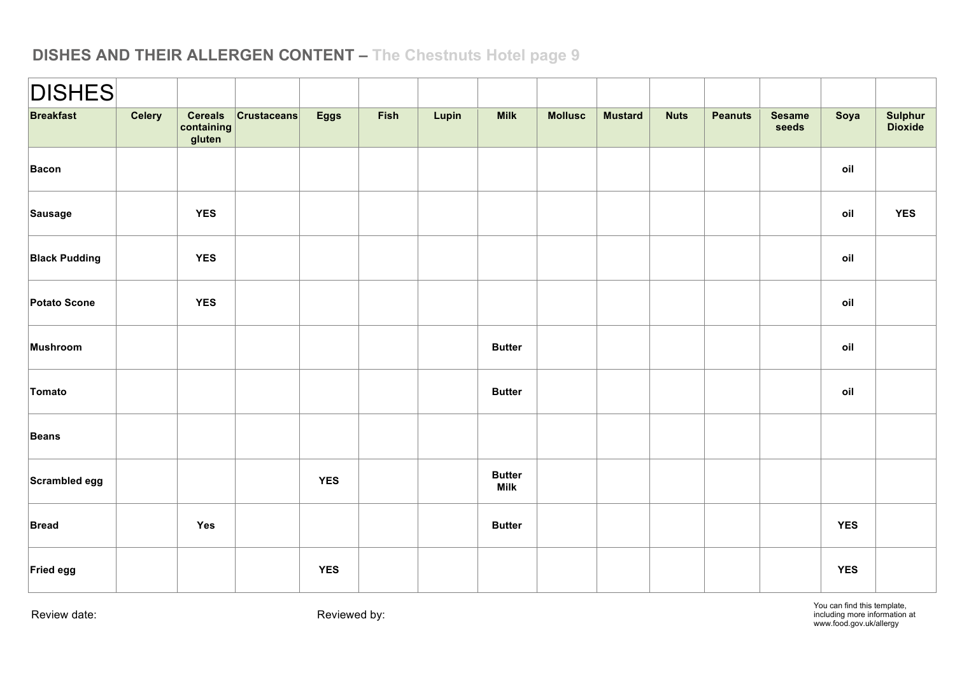| <b>DISHES</b>        |        |                                        |                 |             |      |       |                              |                |                |             |                |                        |            |                    |
|----------------------|--------|----------------------------------------|-----------------|-------------|------|-------|------------------------------|----------------|----------------|-------------|----------------|------------------------|------------|--------------------|
| <b>Breakfast</b>     | Celery | <b>Cereals</b><br>containing<br>gluten | $ $ Crustaceans | <b>Eggs</b> | Fish | Lupin | <b>Milk</b>                  | <b>Mollusc</b> | <b>Mustard</b> | <b>Nuts</b> | <b>Peanuts</b> | <b>Sesame</b><br>seeds | Soya       | Sulphur<br>Dioxide |
| Bacon                |        |                                        |                 |             |      |       |                              |                |                |             |                |                        | oil        |                    |
| Sausage              |        | <b>YES</b>                             |                 |             |      |       |                              |                |                |             |                |                        | oil        | <b>YES</b>         |
| <b>Black Pudding</b> |        | <b>YES</b>                             |                 |             |      |       |                              |                |                |             |                |                        | oil        |                    |
| Potato Scone         |        | <b>YES</b>                             |                 |             |      |       |                              |                |                |             |                |                        | oil        |                    |
| Mushroom             |        |                                        |                 |             |      |       | <b>Butter</b>                |                |                |             |                |                        | oil        |                    |
| Tomato               |        |                                        |                 |             |      |       | <b>Butter</b>                |                |                |             |                |                        | oil        |                    |
| <b>Beans</b>         |        |                                        |                 |             |      |       |                              |                |                |             |                |                        |            |                    |
| Scrambled egg        |        |                                        |                 | <b>YES</b>  |      |       | <b>Butter</b><br><b>Milk</b> |                |                |             |                |                        |            |                    |
| <b>Bread</b>         |        | Yes                                    |                 |             |      |       | <b>Butter</b>                |                |                |             |                |                        | <b>YES</b> |                    |
| Fried egg            |        |                                        |                 | <b>YES</b>  |      |       |                              |                |                |             |                |                        | <b>YES</b> |                    |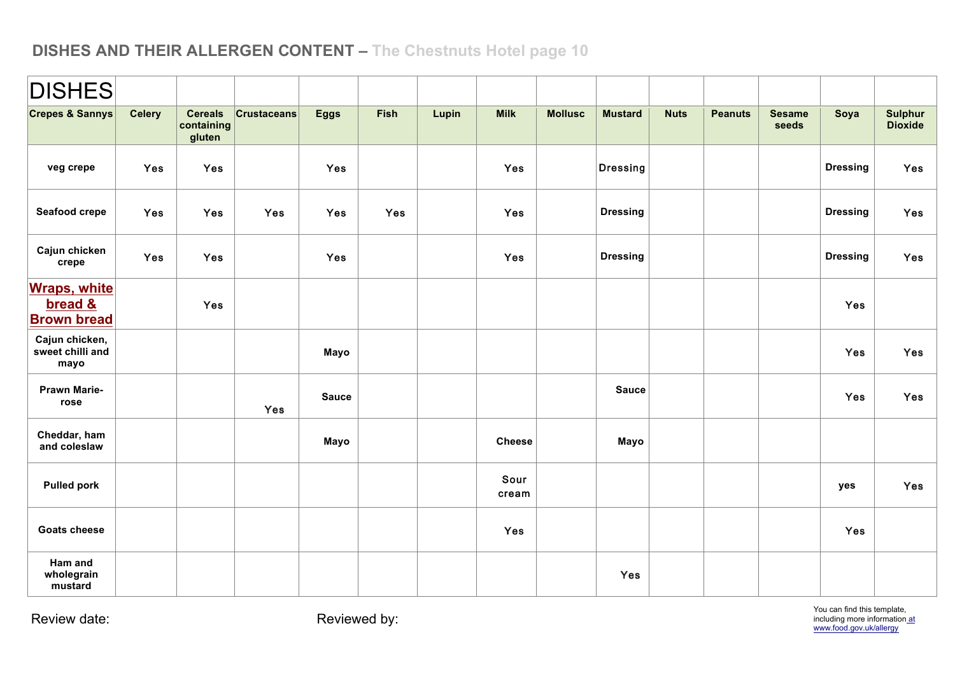| <b>DISHES</b>                                        |               |                                        |                    |              |             |       |               |                |                 |             |                |                        |                 |                                  |
|------------------------------------------------------|---------------|----------------------------------------|--------------------|--------------|-------------|-------|---------------|----------------|-----------------|-------------|----------------|------------------------|-----------------|----------------------------------|
| <b>Crepes &amp; Sannys</b>                           | <b>Celery</b> | <b>Cereals</b><br>containing<br>gluten | <b>Crustaceans</b> | <b>Eggs</b>  | <b>Fish</b> | Lupin | <b>Milk</b>   | <b>Mollusc</b> | <b>Mustard</b>  | <b>Nuts</b> | <b>Peanuts</b> | <b>Sesame</b><br>seeds | Soya            | <b>Sulphur</b><br><b>Dioxide</b> |
| veg crepe                                            | Yes           | <b>Yes</b>                             |                    | <b>Yes</b>   |             |       | <b>Yes</b>    |                | Dressing        |             |                |                        | <b>Dressing</b> | <b>Yes</b>                       |
| Seafood crepe                                        | Yes           | Yes                                    | <b>Yes</b>         | <b>Yes</b>   | Yes         |       | <b>Yes</b>    |                | <b>Dressing</b> |             |                |                        | <b>Dressing</b> | <b>Yes</b>                       |
| Cajun chicken<br>crepe                               | Yes           | Yes                                    |                    | Yes          |             |       | <b>Yes</b>    |                | <b>Dressing</b> |             |                |                        | <b>Dressing</b> | Yes                              |
| <b>Wraps, white</b><br>bread &<br><b>Brown bread</b> |               | Yes                                    |                    |              |             |       |               |                |                 |             |                |                        | Yes             |                                  |
| Cajun chicken,<br>sweet chilli and<br>mayo           |               |                                        |                    | Mayo         |             |       |               |                |                 |             |                |                        | Yes             | <b>Yes</b>                       |
| <b>Prawn Marie-</b><br>rose                          |               |                                        | Yes                | <b>Sauce</b> |             |       |               |                | <b>Sauce</b>    |             |                |                        | Yes             | Yes                              |
| Cheddar, ham<br>and coleslaw                         |               |                                        |                    | Mayo         |             |       | <b>Cheese</b> |                | Mayo            |             |                |                        |                 |                                  |
| <b>Pulled pork</b>                                   |               |                                        |                    |              |             |       | Sour<br>cream |                |                 |             |                |                        | yes             | Yes                              |
| <b>Goats cheese</b>                                  |               |                                        |                    |              |             |       | Yes           |                |                 |             |                |                        | Yes             |                                  |
| Ham and<br>wholegrain<br>mustard                     |               |                                        |                    |              |             |       |               |                | Yes             |             |                |                        |                 |                                  |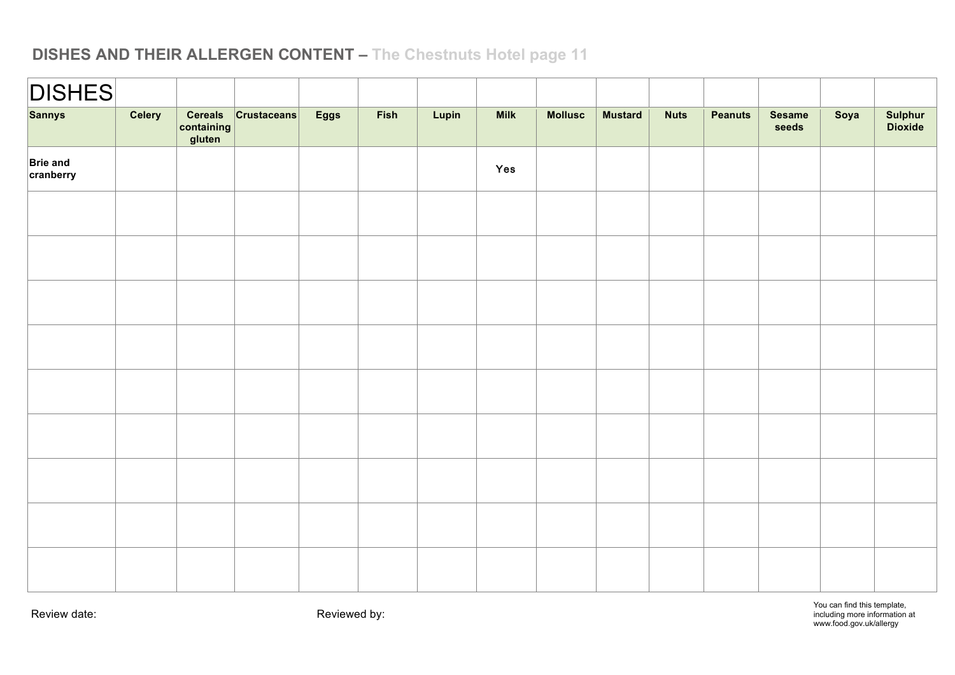| <b>DISHES</b>                |        |                                             |      |      |       |             |                |                |             |                |                        |      |                    |
|------------------------------|--------|---------------------------------------------|------|------|-------|-------------|----------------|----------------|-------------|----------------|------------------------|------|--------------------|
| <b>Sannys</b>                | Celery | Cereals Crustaceans<br>containing<br>gluten | Eggs | Fish | Lupin | <b>Milk</b> | <b>Mollusc</b> | <b>Mustard</b> | <b>Nuts</b> | <b>Peanuts</b> | <b>Sesame</b><br>seeds | Soya | Sulphur<br>Dioxide |
| <b>Brie and</b><br>cranberry |        |                                             |      |      |       | Yes         |                |                |             |                |                        |      |                    |
|                              |        |                                             |      |      |       |             |                |                |             |                |                        |      |                    |
|                              |        |                                             |      |      |       |             |                |                |             |                |                        |      |                    |
|                              |        |                                             |      |      |       |             |                |                |             |                |                        |      |                    |
|                              |        |                                             |      |      |       |             |                |                |             |                |                        |      |                    |
|                              |        |                                             |      |      |       |             |                |                |             |                |                        |      |                    |
|                              |        |                                             |      |      |       |             |                |                |             |                |                        |      |                    |
|                              |        |                                             |      |      |       |             |                |                |             |                |                        |      |                    |
|                              |        |                                             |      |      |       |             |                |                |             |                |                        |      |                    |
|                              |        |                                             |      |      |       |             |                |                |             |                |                        |      |                    |